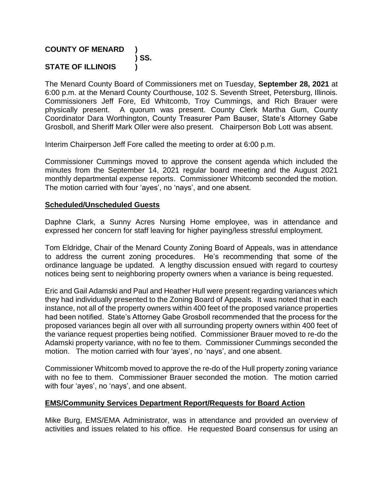# **COUNTY OF MENARD ) ) SS. STATE OF ILLINOIS )**

The Menard County Board of Commissioners met on Tuesday, **September 28, 2021** at 6:00 p.m. at the Menard County Courthouse, 102 S. Seventh Street, Petersburg, Illinois. Commissioners Jeff Fore, Ed Whitcomb, Troy Cummings, and Rich Brauer were physically present. A quorum was present. County Clerk Martha Gum, County Coordinator Dara Worthington, County Treasurer Pam Bauser, State's Attorney Gabe Grosboll, and Sheriff Mark Oller were also present. Chairperson Bob Lott was absent.

Interim Chairperson Jeff Fore called the meeting to order at 6:00 p.m.

Commissioner Cummings moved to approve the consent agenda which included the minutes from the September 14, 2021 regular board meeting and the August 2021 monthly departmental expense reports. Commissioner Whitcomb seconded the motion. The motion carried with four 'ayes', no 'nays', and one absent.

### **Scheduled/Unscheduled Guests**

Daphne Clark, a Sunny Acres Nursing Home employee, was in attendance and expressed her concern for staff leaving for higher paying/less stressful employment.

Tom Eldridge, Chair of the Menard County Zoning Board of Appeals, was in attendance to address the current zoning procedures. He's recommending that some of the ordinance language be updated. A lengthy discussion ensued with regard to courtesy notices being sent to neighboring property owners when a variance is being requested.

Eric and Gail Adamski and Paul and Heather Hull were present regarding variances which they had individually presented to the Zoning Board of Appeals. It was noted that in each instance, not all of the property owners within 400 feet of the proposed variance properties had been notified. State's Attorney Gabe Grosboll recommended that the process for the proposed variances begin all over with all surrounding property owners within 400 feet of the variance request properties being notified. Commissioner Brauer moved to re-do the Adamski property variance, with no fee to them. Commissioner Cummings seconded the motion. The motion carried with four 'ayes', no 'nays', and one absent.

Commissioner Whitcomb moved to approve the re-do of the Hull property zoning variance with no fee to them. Commissioner Brauer seconded the motion. The motion carried with four 'ayes', no 'nays', and one absent.

### **EMS/Community Services Department Report/Requests for Board Action**

Mike Burg, EMS/EMA Administrator, was in attendance and provided an overview of activities and issues related to his office. He requested Board consensus for using an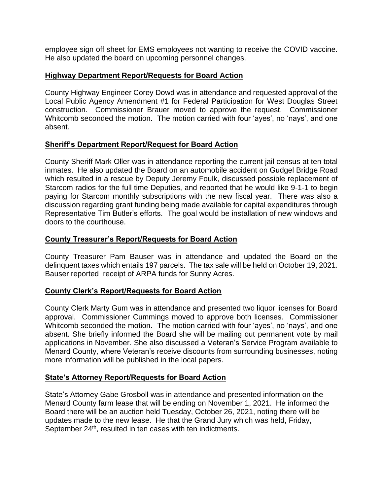employee sign off sheet for EMS employees not wanting to receive the COVID vaccine. He also updated the board on upcoming personnel changes.

# **Highway Department Report/Requests for Board Action**

County Highway Engineer Corey Dowd was in attendance and requested approval of the Local Public Agency Amendment #1 for Federal Participation for West Douglas Street construction. Commissioner Brauer moved to approve the request. Commissioner Whitcomb seconded the motion. The motion carried with four 'ayes', no 'nays', and one absent.

## **Sheriff's Department Report/Request for Board Action**

County Sheriff Mark Oller was in attendance reporting the current jail census at ten total inmates. He also updated the Board on an automobile accident on Gudgel Bridge Road which resulted in a rescue by Deputy Jeremy Foulk, discussed possible replacement of Starcom radios for the full time Deputies, and reported that he would like 9-1-1 to begin paying for Starcom monthly subscriptions with the new fiscal year. There was also a discussion regarding grant funding being made available for capital expenditures through Representative Tim Butler's efforts. The goal would be installation of new windows and doors to the courthouse.

## **County Treasurer's Report/Requests for Board Action**

County Treasurer Pam Bauser was in attendance and updated the Board on the delinquent taxes which entails 197 parcels. The tax sale will be held on October 19, 2021. Bauser reported receipt of ARPA funds for Sunny Acres.

# **County Clerk's Report/Requests for Board Action**

County Clerk Marty Gum was in attendance and presented two liquor licenses for Board approval. Commissioner Cummings moved to approve both licenses. Commissioner Whitcomb seconded the motion. The motion carried with four 'ayes', no 'nays', and one absent. She briefly informed the Board she will be mailing out permanent vote by mail applications in November. She also discussed a Veteran's Service Program available to Menard County, where Veteran's receive discounts from surrounding businesses, noting more information will be published in the local papers.

### **State's Attorney Report/Requests for Board Action**

State's Attorney Gabe Grosboll was in attendance and presented information on the Menard County farm lease that will be ending on November 1, 2021. He informed the Board there will be an auction held Tuesday, October 26, 2021, noting there will be updates made to the new lease. He that the Grand Jury which was held, Friday, September 24<sup>th</sup>, resulted in ten cases with ten indictments.